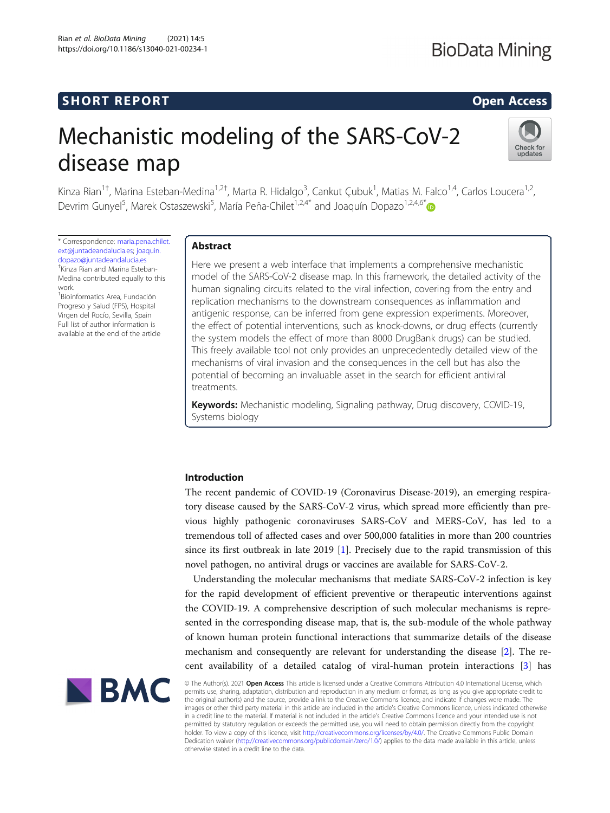# **SHORT REPORT SHORT CONSTRUCTES AND THE SHORT COPEN ACCESS**

# Mechanistic modeling of the SARS-CoV-2 disease map



Kinza Rian<sup>1†</sup>, Marina Esteban-Medina<sup>1,2†</sup>, Marta R. Hidalgo<sup>3</sup>, Cankut Çubuk<sup>1</sup>, Matias M. Falco<sup>1,4</sup>, Carlos Loucera<sup>1,2</sup>, Devrim Gunyel<sup>5</sup>, Marek Ostaszewski<sup>5</sup>, María Peña-Chilet<sup>1,2,4[\\*](http://orcid.org/0000-0003-3318-120X)</sup> and Joaquín Dopazo<sup>1,2,4,6\*</sup>

\* Correspondence: [maria.pena.chilet.](mailto:maria.pena.chilet.ext@juntadeandalucia.es) [ext@juntadeandalucia.es;](mailto:maria.pena.chilet.ext@juntadeandalucia.es) [joaquin.](mailto:joaquin.dopazo@juntadeandalucia.es) [dopazo@juntadeandalucia.es](mailto:joaquin.dopazo@juntadeandalucia.es) † Kinza Rian and Marina Esteban-

Medina contributed equally to this work.

1 Bioinformatics Area, Fundación Progreso y Salud (FPS), Hospital Virgen del Rocío, Sevilla, Spain Full list of author information is available at the end of the article

# Abstract

Here we present a web interface that implements a comprehensive mechanistic model of the SARS-CoV-2 disease map. In this framework, the detailed activity of the human signaling circuits related to the viral infection, covering from the entry and replication mechanisms to the downstream consequences as inflammation and antigenic response, can be inferred from gene expression experiments. Moreover, the effect of potential interventions, such as knock-downs, or drug effects (currently the system models the effect of more than 8000 DrugBank drugs) can be studied. This freely available tool not only provides an unprecedentedly detailed view of the mechanisms of viral invasion and the consequences in the cell but has also the potential of becoming an invaluable asset in the search for efficient antiviral treatments.

Keywords: Mechanistic modeling, Signaling pathway, Drug discovery, COVID-19, Systems biology

# Introduction

The recent pandemic of COVID-19 (Coronavirus Disease-2019), an emerging respiratory disease caused by the SARS-CoV-2 virus, which spread more efficiently than previous highly pathogenic coronaviruses SARS-CoV and MERS-CoV, has led to a tremendous toll of affected cases and over 500,000 fatalities in more than 200 countries since its first outbreak in late 2019 [[1\]](#page-6-0). Precisely due to the rapid transmission of this novel pathogen, no antiviral drugs or vaccines are available for SARS-CoV-2.

Understanding the molecular mechanisms that mediate SARS-CoV-2 infection is key for the rapid development of efficient preventive or therapeutic interventions against the COVID-19. A comprehensive description of such molecular mechanisms is represented in the corresponding disease map, that is, the sub-module of the whole pathway of known human protein functional interactions that summarize details of the disease mechanism and consequently are relevant for understanding the disease [\[2](#page-6-0)]. The recent availability of a detailed catalog of viral-human protein interactions [\[3](#page-6-0)] has



© The Author(s). 2021 Open Access This article is licensed under a Creative Commons Attribution 4.0 International License, which permits use, sharing, adaptation, distribution and reproduction in any medium or format, as long as you give appropriate credit to the original author(s) and the source, provide a link to the Creative Commons licence, and indicate if changes were made. The images or other third party material in this article are included in the article's Creative Commons licence, unless indicated otherwise in a credit line to the material. If material is not included in the article's Creative Commons licence and your intended use is not permitted by statutory regulation or exceeds the permitted use, you will need to obtain permission directly from the copyright<br>holder. To view a copy of this licence, visit [http://creativecommons.org/licenses/by/4.0/.](http://creativecommons.org/licenses/by/4.0/) The Dedication waiver [\(http://creativecommons.org/publicdomain/zero/1.0/](http://creativecommons.org/publicdomain/zero/1.0/)) applies to the data made available in this article, unless otherwise stated in a credit line to the data.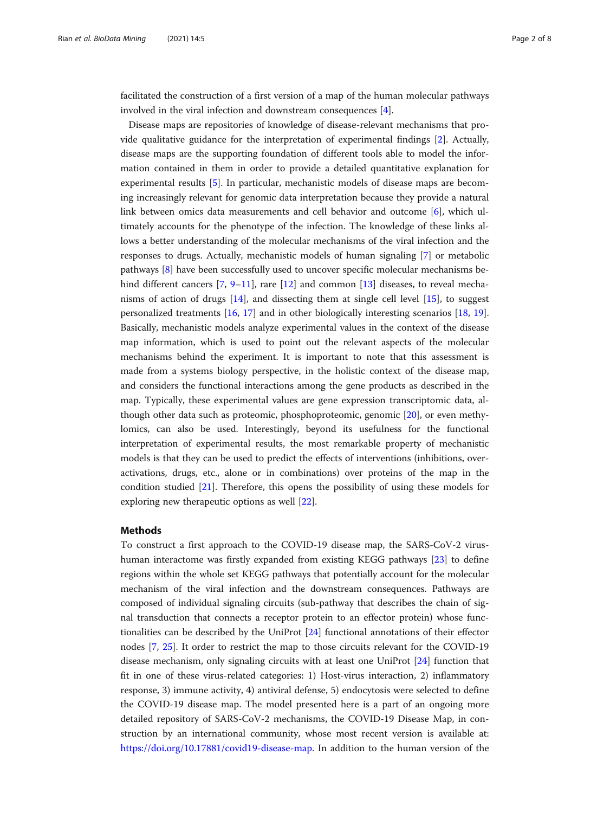facilitated the construction of a first version of a map of the human molecular pathways involved in the viral infection and downstream consequences [\[4](#page-6-0)].

Disease maps are repositories of knowledge of disease-relevant mechanisms that provide qualitative guidance for the interpretation of experimental findings [\[2](#page-6-0)]. Actually, disease maps are the supporting foundation of different tools able to model the information contained in them in order to provide a detailed quantitative explanation for experimental results [\[5](#page-6-0)]. In particular, mechanistic models of disease maps are becoming increasingly relevant for genomic data interpretation because they provide a natural link between omics data measurements and cell behavior and outcome [[6\]](#page-7-0), which ultimately accounts for the phenotype of the infection. The knowledge of these links allows a better understanding of the molecular mechanisms of the viral infection and the responses to drugs. Actually, mechanistic models of human signaling [\[7](#page-7-0)] or metabolic pathways [\[8](#page-7-0)] have been successfully used to uncover specific molecular mechanisms behind different cancers  $[7, 9-11]$  $[7, 9-11]$  $[7, 9-11]$  $[7, 9-11]$  $[7, 9-11]$  $[7, 9-11]$ , rare  $[12]$  $[12]$  and common  $[13]$  $[13]$  diseases, to reveal mechanisms of action of drugs [[14\]](#page-7-0), and dissecting them at single cell level [[15](#page-7-0)], to suggest personalized treatments [[16,](#page-7-0) [17](#page-7-0)] and in other biologically interesting scenarios [\[18](#page-7-0), [19](#page-7-0)]. Basically, mechanistic models analyze experimental values in the context of the disease map information, which is used to point out the relevant aspects of the molecular mechanisms behind the experiment. It is important to note that this assessment is made from a systems biology perspective, in the holistic context of the disease map, and considers the functional interactions among the gene products as described in the map. Typically, these experimental values are gene expression transcriptomic data, although other data such as proteomic, phosphoproteomic, genomic [\[20\]](#page-7-0), or even methylomics, can also be used. Interestingly, beyond its usefulness for the functional interpretation of experimental results, the most remarkable property of mechanistic models is that they can be used to predict the effects of interventions (inhibitions, overactivations, drugs, etc., alone or in combinations) over proteins of the map in the condition studied [\[21\]](#page-7-0). Therefore, this opens the possibility of using these models for exploring new therapeutic options as well [[22](#page-7-0)].

# Methods

To construct a first approach to the COVID-19 disease map, the SARS-CoV-2 virushuman interactome was firstly expanded from existing KEGG pathways [\[23\]](#page-7-0) to define regions within the whole set KEGG pathways that potentially account for the molecular mechanism of the viral infection and the downstream consequences. Pathways are composed of individual signaling circuits (sub-pathway that describes the chain of signal transduction that connects a receptor protein to an effector protein) whose functionalities can be described by the UniProt [\[24\]](#page-7-0) functional annotations of their effector nodes [\[7](#page-7-0), [25\]](#page-7-0). It order to restrict the map to those circuits relevant for the COVID-19 disease mechanism, only signaling circuits with at least one UniProt [\[24](#page-7-0)] function that fit in one of these virus-related categories: 1) Host-virus interaction, 2) inflammatory response, 3) immune activity, 4) antiviral defense, 5) endocytosis were selected to define the COVID-19 disease map. The model presented here is a part of an ongoing more detailed repository of SARS-CoV-2 mechanisms, the COVID-19 Disease Map, in construction by an international community, whose most recent version is available at: [https://doi.org/10.17881/covid19-disease-map.](https://doi.org/10.17881/covid19-disease-map) In addition to the human version of the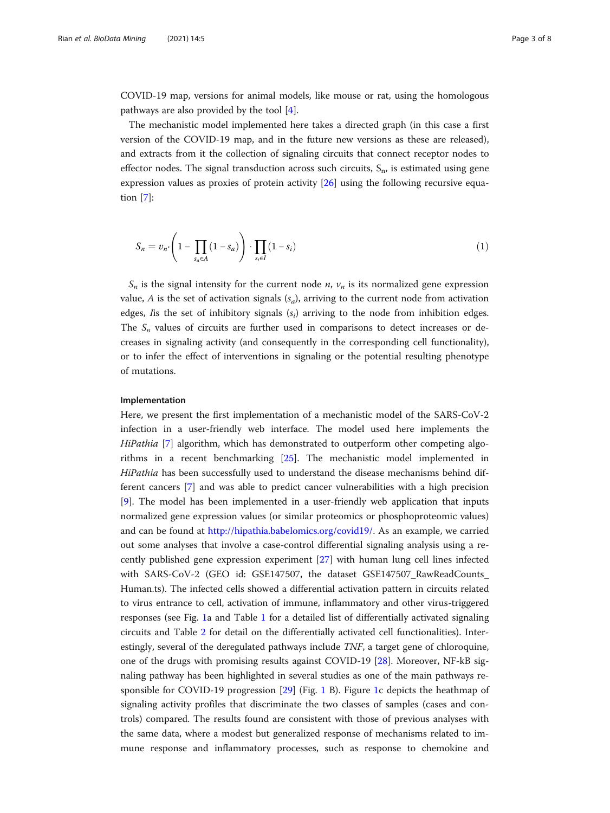COVID-19 map, versions for animal models, like mouse or rat, using the homologous pathways are also provided by the tool [\[4](#page-6-0)].

The mechanistic model implemented here takes a directed graph (in this case a first version of the COVID-19 map, and in the future new versions as these are released), and extracts from it the collection of signaling circuits that connect receptor nodes to effector nodes. The signal transduction across such circuits,  $S_n$ , is estimated using gene expression values as proxies of protein activity [\[26](#page-7-0)] using the following recursive equation [\[7\]](#page-7-0):

$$
S_n = v_n \cdot \left(1 - \prod_{s_a \in A} (1 - s_a)\right) \cdot \prod_{s_i \in I} (1 - s_i) \tag{1}
$$

 $S_n$  is the signal intensity for the current node *n*,  $v_n$  is its normalized gene expression value, A is the set of activation signals  $(s_a)$ , arriving to the current node from activation edges, I is the set of inhibitory signals  $(s_i)$  arriving to the node from inhibition edges. The  $S_n$  values of circuits are further used in comparisons to detect increases or decreases in signaling activity (and consequently in the corresponding cell functionality), or to infer the effect of interventions in signaling or the potential resulting phenotype of mutations.

### Implementation

Here, we present the first implementation of a mechanistic model of the SARS-CoV-2 infection in a user-friendly web interface. The model used here implements the HiPathia [\[7](#page-7-0)] algorithm, which has demonstrated to outperform other competing algorithms in a recent benchmarking [\[25\]](#page-7-0). The mechanistic model implemented in HiPathia has been successfully used to understand the disease mechanisms behind different cancers [[7\]](#page-7-0) and was able to predict cancer vulnerabilities with a high precision [[9\]](#page-7-0). The model has been implemented in a user-friendly web application that inputs normalized gene expression values (or similar proteomics or phosphoproteomic values) and can be found at <http://hipathia.babelomics.org/covid19/>. As an example, we carried out some analyses that involve a case-control differential signaling analysis using a recently published gene expression experiment [\[27\]](#page-7-0) with human lung cell lines infected with SARS-CoV-2 (GEO id: GSE147507, the dataset GSE147507\_RawReadCounts\_ Human.ts). The infected cells showed a differential activation pattern in circuits related to virus entrance to cell, activation of immune, inflammatory and other virus-triggered responses (see Fig. [1](#page-3-0)a and Table [1](#page-4-0) for a detailed list of differentially activated signaling circuits and Table [2](#page-5-0) for detail on the differentially activated cell functionalities). Interestingly, several of the deregulated pathways include TNF, a target gene of chloroquine, one of the drugs with promising results against COVID-19 [[28\]](#page-7-0). Moreover, NF-kB signaling pathway has been highlighted in several studies as one of the main pathways responsible for COVID-19 progression [[29\]](#page-7-0) (Fig. [1](#page-3-0) B). Figure [1c](#page-3-0) depicts the heathmap of signaling activity profiles that discriminate the two classes of samples (cases and controls) compared. The results found are consistent with those of previous analyses with the same data, where a modest but generalized response of mechanisms related to immune response and inflammatory processes, such as response to chemokine and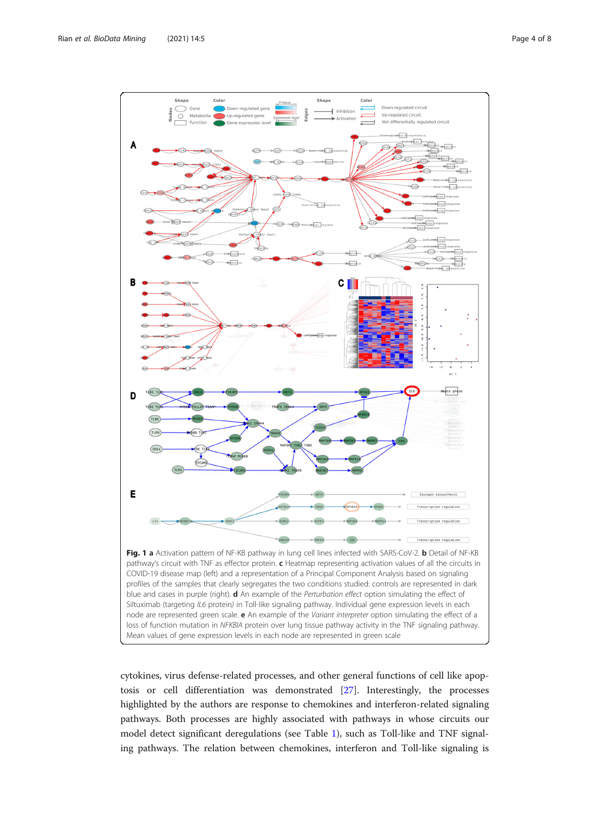<span id="page-3-0"></span>

cytokines, virus defense-related processes, and other general functions of cell like apoptosis or cell differentiation was demonstrated [[27](#page-7-0)]. Interestingly, the processes highlighted by the authors are response to chemokines and interferon-related signaling pathways. Both processes are highly associated with pathways in whose circuits our model detect significant deregulations (see Table [1\)](#page-4-0), such as Toll-like and TNF signaling pathways. The relation between chemokines, interferon and Toll-like signaling is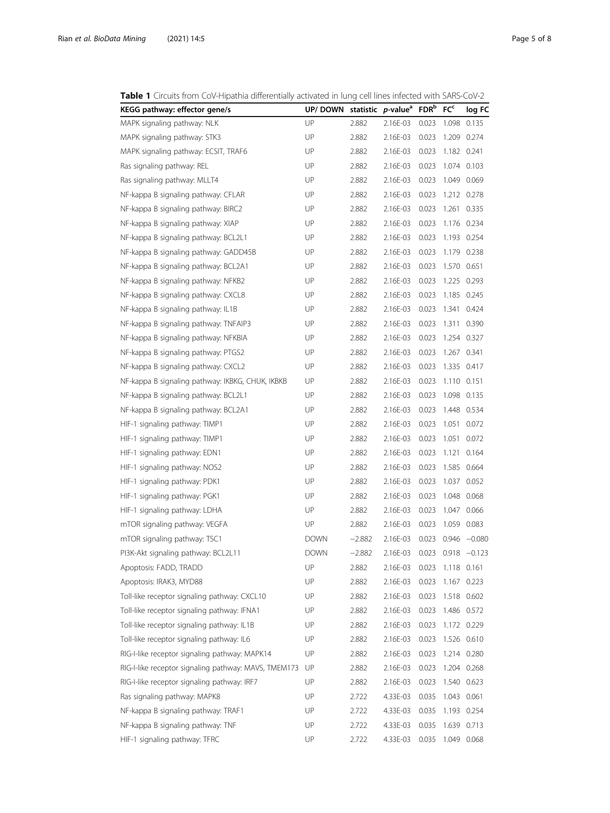<span id="page-4-0"></span>Table 1 Circuits from CoV-Hipathia differentially activated in lung cell lines infected with SARS-CoV-2

| KEGG pathway: effector gene/s                        | UP/ DOWN    |          | statistic <i>p</i> -value <sup>a</sup> | FDR <sup>b</sup> | FC <sub>c</sub> | log FC          |
|------------------------------------------------------|-------------|----------|----------------------------------------|------------------|-----------------|-----------------|
| MAPK signaling pathway: NLK                          | UP          | 2.882    | 2.16E-03                               | 0.023            | 1.098           | 0.135           |
| MAPK signaling pathway: STK3                         | UP          | 2.882    | 2.16E-03                               | 0.023            | 1.209           | 0.274           |
| MAPK signaling pathway: ECSIT, TRAF6                 | UP          | 2.882    | 2.16E-03                               | 0.023            | 1.182 0.241     |                 |
| Ras signaling pathway: REL                           | UP          | 2.882    | 2.16E-03                               | 0.023            |                 | 1.074 0.103     |
| Ras signaling pathway: MLLT4                         | UP          | 2.882    | 2.16E-03                               | 0.023            |                 | 1.049 0.069     |
| NF-kappa B signaling pathway: CFLAR                  | UP          | 2.882    | 2.16E-03                               | 0.023            | 1.212           | 0.278           |
| NF-kappa B signaling pathway: BIRC2                  | UP          | 2.882    | 2.16E-03                               | 0.023            | 1.261           | 0.335           |
| NF-kappa B signaling pathway: XIAP                   | UP          | 2.882    | 2.16E-03                               | 0.023            |                 | 1.176 0.234     |
| NF-kappa B signaling pathway: BCL2L1                 | UP          | 2.882    | 2.16E-03                               | 0.023            | 1.193           | 0.254           |
| NF-kappa B signaling pathway: GADD45B                | UP          | 2.882    | 2.16E-03                               | 0.023            | 1.179           | 0.238           |
| NF-kappa B signaling pathway: BCL2A1                 | UP          | 2.882    | 2.16E-03                               | 0.023            | 1.570           | 0.651           |
| NF-kappa B signaling pathway: NFKB2                  | UP          | 2.882    | 2.16E-03                               | 0.023            | 1.225           | 0.293           |
| NF-kappa B signaling pathway: CXCL8                  | UP          | 2.882    | 2.16E-03                               | 0.023            | 1.185           | 0.245           |
| NF-kappa B signaling pathway: IL1B                   | UP          | 2.882    | 2.16E-03                               | 0.023            | 1.341           | 0.424           |
| NF-kappa B signaling pathway: TNFAIP3                | UP          | 2.882    | 2.16E-03                               | 0.023            | 1.311           | 0.390           |
| NF-kappa B signaling pathway: NFKBIA                 | UP          | 2.882    | 2.16E-03                               | 0.023            |                 | 1.254 0.327     |
| NF-kappa B signaling pathway: PTGS2                  | UP          | 2.882    | 2.16E-03                               | 0.023            | 1.267           | 0.341           |
| NF-kappa B signaling pathway: CXCL2                  | UP          | 2.882    | 2.16E-03                               | 0.023            | 1.335           | 0.417           |
| NF-kappa B signaling pathway: IKBKG, CHUK, IKBKB     | UP          | 2.882    | 2.16E-03                               | 0.023            | 1.110           | 0.151           |
| NF-kappa B signaling pathway: BCL2L1                 | UP          | 2.882    | 2.16E-03                               | 0.023            | 1.098           | 0.135           |
| NF-kappa B signaling pathway: BCL2A1                 | UP          | 2.882    | 2.16E-03                               | 0.023            | 1.448           | 0.534           |
| HIF-1 signaling pathway: TIMP1                       | UP          | 2.882    | 2.16E-03                               | 0.023            | 1.051           | 0.072           |
| HIF-1 signaling pathway: TIMP1                       | UP          | 2.882    | 2.16E-03                               | 0.023            | 1.051           | 0.072           |
| HIF-1 signaling pathway: EDN1                        | UP          | 2.882    | 2.16E-03                               | 0.023            | 1.121           | 0.164           |
| HIF-1 signaling pathway: NOS2                        | UP          | 2.882    | 2.16E-03                               | 0.023            | 1.585           | 0.664           |
| HIF-1 signaling pathway: PDK1                        | UP          | 2.882    | 2.16E-03                               | 0.023            | 1.037           | 0.052           |
| HIF-1 signaling pathway: PGK1                        | UP          | 2.882    | 2.16E-03                               | 0.023            | 1.048           | 0.068           |
| HIF-1 signaling pathway: LDHA                        | UP          | 2.882    | 2.16E-03                               | 0.023            | 1.047           | 0.066           |
| mTOR signaling pathway: VEGFA                        | UP          | 2.882    | 2.16E-03                               | 0.023            | 1.059           | 0.083           |
| mTOR signaling pathway: TSC1                         | <b>DOWN</b> | $-2.882$ | 2.16E-03                               | 0.023            | 0.946           | $-0.080$        |
| PI3K-Akt signaling pathway: BCL2L11                  | <b>DOWN</b> | $-2.882$ | 2.16E-03                               | 0.023            |                 | $0.918 - 0.123$ |
| Apoptosis: FADD, TRADD                               | UP          | 2.882    | 2.16E-03                               | 0.023            | 1.118 0.161     |                 |
| Apoptosis: IRAK3, MYD88                              | UP          | 2.882    | 2.16E-03                               | 0.023            | 1.167           | 0.223           |
| Toll-like receptor signaling pathway: CXCL10         | UP          | 2.882    | 2.16E-03                               | 0.023            | 1.518 0.602     |                 |
| Toll-like receptor signaling pathway: IFNA1          | UP          | 2.882    | 2.16E-03                               | 0.023            | 1.486 0.572     |                 |
| Toll-like receptor signaling pathway: IL1B           | UP          | 2.882    | 2.16E-03                               | 0.023            |                 | 1.172 0.229     |
| Toll-like receptor signaling pathway: IL6            | UP          | 2.882    | 2.16E-03                               | 0.023            |                 | 1.526 0.610     |
| RIG-I-like receptor signaling pathway: MAPK14        | UP          | 2.882    | 2.16E-03                               | 0.023            |                 | 1.214 0.280     |
| RIG-I-like receptor signaling pathway: MAVS, TMEM173 | UP          | 2.882    | 2.16E-03                               | 0.023            |                 | 1.204 0.268     |
| RIG-I-like receptor signaling pathway: IRF7          | UP          | 2.882    | 2.16E-03                               | 0.023            | 1.540 0.623     |                 |
| Ras signaling pathway: MAPK8                         | UP          | 2.722    | 4.33E-03                               | 0.035            | 1.043 0.061     |                 |
| NF-kappa B signaling pathway: TRAF1                  | UP          | 2.722    | 4.33E-03                               | 0.035            |                 | 1.193 0.254     |
| NF-kappa B signaling pathway: TNF                    | UP          | 2.722    | 4.33E-03                               | 0.035            | 1.639           | 0.713           |
| HIF-1 signaling pathway: TFRC                        | UP          | 2.722    | 4.33E-03                               | 0.035            | 1.049           | 0.068           |
|                                                      |             |          |                                        |                  |                 |                 |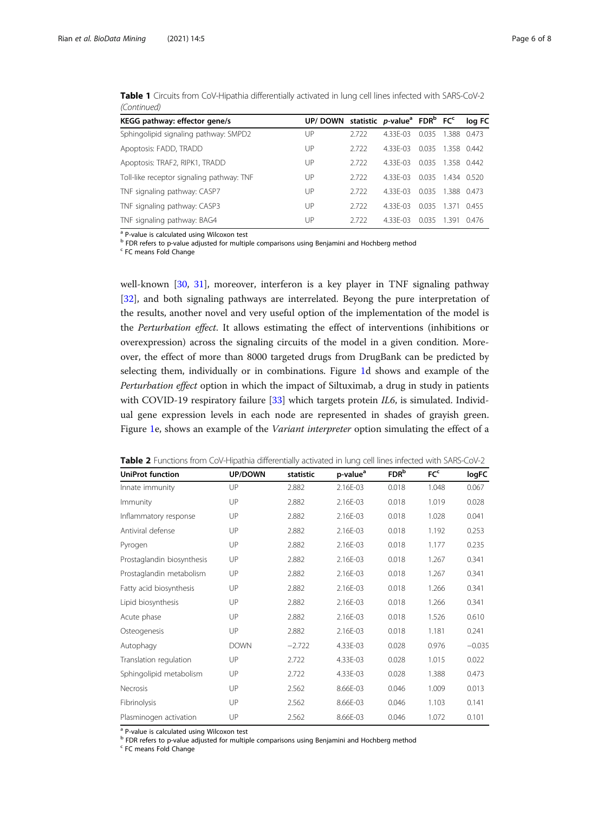|     |       |         |       |       | loa FC                                                                                                                                      |
|-----|-------|---------|-------|-------|---------------------------------------------------------------------------------------------------------------------------------------------|
| UP  | 2.722 | 433F-03 | 0.035 | 1.388 | 0473                                                                                                                                        |
| UP  | 2.722 | 433F-03 | 0.035 |       |                                                                                                                                             |
| UP  | 2.722 | 433F-03 | 0035  |       |                                                                                                                                             |
| UP  | 2.722 | 433F-03 | 0.035 |       |                                                                                                                                             |
| UP. | 2.722 | 433F-03 | 0035  |       |                                                                                                                                             |
| UP  | 2.722 | 433F-03 | 0.035 |       | 0455                                                                                                                                        |
| UP  | 2.722 | 433F-03 | 0035  | 1391  | 0476                                                                                                                                        |
|     |       |         |       |       | UP/DOWN statistic $p$ -value <sup>a</sup> FDR <sup>b</sup> FC <sup>c</sup><br>1.358 0.442<br>1358 0442<br>1434 0520<br>1388 0473<br>1 3 7 1 |

<span id="page-5-0"></span>Table 1 Circuits from CoV-Hipathia differentially activated in lung cell lines infected with SARS-CoV-2 (Continued)

a P-value is calculated using Wilcoxon test

<sup>b</sup> FDR refers to p-value adjusted for multiple comparisons using Benjamini and Hochberg method

<sup>c</sup> FC means Fold Change

well-known [[30,](#page-7-0) [31](#page-7-0)], moreover, interferon is a key player in TNF signaling pathway [[32\]](#page-7-0), and both signaling pathways are interrelated. Beyong the pure interpretation of the results, another novel and very useful option of the implementation of the model is the Perturbation effect. It allows estimating the effect of interventions (inhibitions or overexpression) across the signaling circuits of the model in a given condition. Moreover, the effect of more than 8000 targeted drugs from DrugBank can be predicted by selecting them, individually or in combinations. Figure [1](#page-3-0)d shows and example of the Perturbation effect option in which the impact of Siltuximab, a drug in study in patients with COVID-19 respiratory failure [[33\]](#page-7-0) which targets protein  $IL6$ , is simulated. Individual gene expression levels in each node are represented in shades of grayish green. Figure [1](#page-3-0)e, shows an example of the Variant interpreter option simulating the effect of a

| <b>UniProt function</b>    | UP/DOWN     | statistic | p-value <sup>a</sup> | FDR <sup>b</sup> | FC <sup>c</sup> | logFC    |
|----------------------------|-------------|-----------|----------------------|------------------|-----------------|----------|
| Innate immunity            | UP          | 2.882     | 2.16E-03             | 0.018            | 1.048           | 0.067    |
| Immunity                   | UP          | 2.882     | 2.16E-03             | 0.018            | 1.019           | 0.028    |
| Inflammatory response      | UP          | 2.882     | 2.16E-03             | 0.018            | 1.028           | 0.041    |
| Antiviral defense          | UP          | 2.882     | 2.16E-03             | 0.018            | 1.192           | 0.253    |
| Pyrogen                    | UP          | 2.882     | 2.16E-03             | 0.018            | 1.177           | 0.235    |
| Prostaglandin biosynthesis | UP          | 2.882     | 2.16E-03             | 0.018            | 1.267           | 0.341    |
| Prostaglandin metabolism   | UP          | 2.882     | 2.16E-03             | 0.018            | 1.267           | 0.341    |
| Fatty acid biosynthesis    | UP          | 2.882     | 2.16E-03             | 0.018            | 1.266           | 0.341    |
| Lipid biosynthesis         | UP          | 2.882     | 2.16E-03             | 0.018            | 1.266           | 0.341    |
| Acute phase                | UP          | 2.882     | 2.16E-03             | 0.018            | 1.526           | 0.610    |
| Osteogenesis               | UP          | 2.882     | 2.16E-03             | 0.018            | 1.181           | 0.241    |
| Autophagy                  | <b>DOWN</b> | $-2.722$  | 4.33E-03             | 0.028            | 0.976           | $-0.035$ |
| Translation regulation     | UP          | 2.722     | 4.33E-03             | 0.028            | 1.015           | 0.022    |
| Sphingolipid metabolism    | UP          | 2.722     | 4.33E-03             | 0.028            | 1.388           | 0.473    |
| Necrosis                   | UP          | 2.562     | 8.66E-03             | 0.046            | 1.009           | 0.013    |
| Fibrinolysis               | UP          | 2.562     | 8.66E-03             | 0.046            | 1.103           | 0.141    |
| Plasminogen activation     | UP          | 2.562     | 8.66E-03             | 0.046            | 1.072           | 0.101    |

Table 2 Functions from CoV-Hipathia differentially activated in lung cell lines infected with SARS-CoV-2

<sup>a</sup> P-value is calculated using Wilcoxon test

b FDR refers to p-value adjusted for multiple comparisons using Benjamini and Hochberg method

<sup>c</sup> FC means Fold Change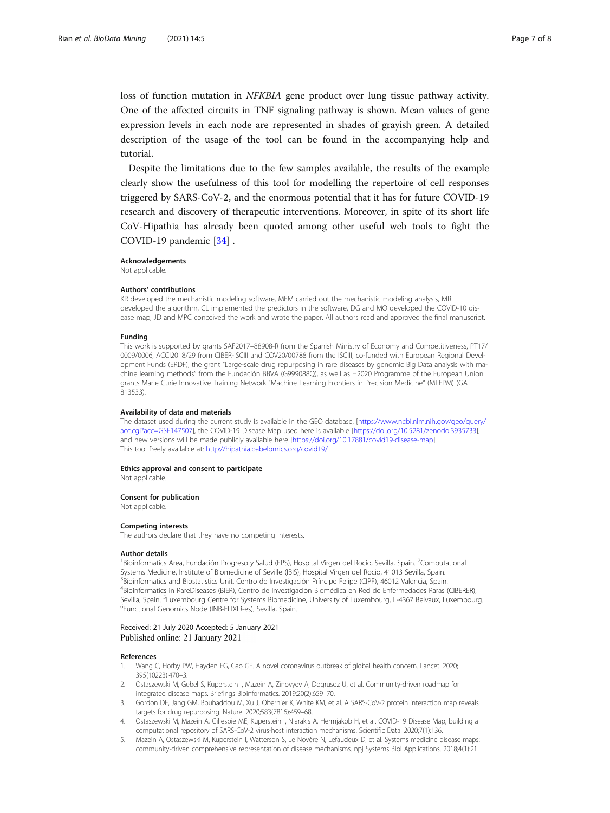<span id="page-6-0"></span>loss of function mutation in NFKBIA gene product over lung tissue pathway activity. One of the affected circuits in TNF signaling pathway is shown. Mean values of gene expression levels in each node are represented in shades of grayish green. A detailed description of the usage of the tool can be found in the accompanying help and tutorial.

Despite the limitations due to the few samples available, the results of the example clearly show the usefulness of this tool for modelling the repertoire of cell responses triggered by SARS-CoV-2, and the enormous potential that it has for future COVID-19 research and discovery of therapeutic interventions. Moreover, in spite of its short life CoV-Hipathia has already been quoted among other useful web tools to fight the COVID-19 pandemic [\[34](#page-7-0)] .

#### Acknowledgements

Not applicable.

#### Authors' contributions

KR developed the mechanistic modeling software, MEM carried out the mechanistic modeling analysis, MRL developed the algorithm, CL implemented the predictors in the software, DG and MO developed the COVID-10 disease map, JD and MPC conceived the work and wrote the paper. All authors read and approved the final manuscript.

#### Funding

This work is supported by grants SAF2017–88908-R from the Spanish Ministry of Economy and Competitiveness, PT17/ 0009/0006, ACCI2018/29 from CIBER-ISCIII and COV20/00788 from the ISCIII, co-funded with European Regional Development Funds (ERDF), the grant "Large-scale drug repurposing in rare diseases by genomic Big Data analysis with machine learning methods" from the Fundación BBVA (G999088Q), as well as H2020 Programme of the European Union grants Marie Curie Innovative Training Network "Machine Learning Frontiers in Precision Medicine" (MLFPM) (GA 813533).

#### Availability of data and materials

The dataset used during the current study is available in the GEO database, [[https://www.ncbi.nlm.nih.gov/geo/query/](https://www.ncbi.nlm.nih.gov/geo/query/acc.cgi?acc=GSE147507) [acc.cgi?acc=GSE147507\]](https://www.ncbi.nlm.nih.gov/geo/query/acc.cgi?acc=GSE147507), the COVID-19 Disease Map used here is available [\[https://doi.org/10.5281/zenodo.3935733](https://doi.org/10.5281/zenodo.3935733)], and new versions will be made publicly available here [<https://doi.org/10.17881/covid19-disease-map>]. This tool freely available at: <http://hipathia.babelomics.org/covid19/>

#### Ethics approval and consent to participate

Not applicable.

#### Consent for publication

Not applicable.

#### Competing interests

The authors declare that they have no competing interests.

#### Author details

<sup>1</sup>Bioinformatics Area, Fundación Progreso y Salud (FPS), Hospital Virgen del Rocío, Sevilla, Spain. <sup>2</sup>Computational Systems Medicine, Institute of Biomedicine of Seville (IBIS), Hospital Virgen del Rocio, 41013 Sevilla, Spain. <sup>3</sup>Bioinformatics and Biostatistics Unit, Centro de Investigación Príncipe Felipe (CIPF), 46012 Valencia, Spain. 4 Bioinformatics in RareDiseases (BiER), Centro de Investigación Biomédica en Red de Enfermedades Raras (CIBERER), Sevilla, Spain. <sup>5</sup>Luxembourg Centre for Systems Biomedicine, University of Luxembourg, L-4367 Belvaux, Luxembourg.<br><sup>6</sup>Eunctional Genomics Node (INB-ELIXIB-es), Sevilla, Spain. Functional Genomics Node (INB-ELIXIR-es), Sevilla, Spain.

### Received: 21 July 2020 Accepted: 5 January 2021 Published online: 21 January 2021

#### References

- 1. Wang C, Horby PW, Hayden FG, Gao GF. A novel coronavirus outbreak of global health concern. Lancet. 2020; 395(10223):470–3.
- 2. Ostaszewski M, Gebel S, Kuperstein I, Mazein A, Zinovyev A, Dogrusoz U, et al. Community-driven roadmap for integrated disease maps. Briefings Bioinformatics. 2019;20(2):659–70.
- 3. Gordon DE, Jang GM, Bouhaddou M, Xu J, Obernier K, White KM, et al. A SARS-CoV-2 protein interaction map reveals targets for drug repurposing. Nature. 2020;583(7816):459–68.
- 4. Ostaszewski M, Mazein A, Gillespie ME, Kuperstein I, Niarakis A, Hermjakob H, et al. COVID-19 Disease Map, building a computational repository of SARS-CoV-2 virus-host interaction mechanisms. Scientific Data. 2020;7(1):136.
- Mazein A, Ostaszewski M, Kuperstein I, Watterson S, Le Novère N, Lefaudeux D, et al. Systems medicine disease maps: community-driven comprehensive representation of disease mechanisms. npj Systems Biol Applications. 2018;4(1):21.